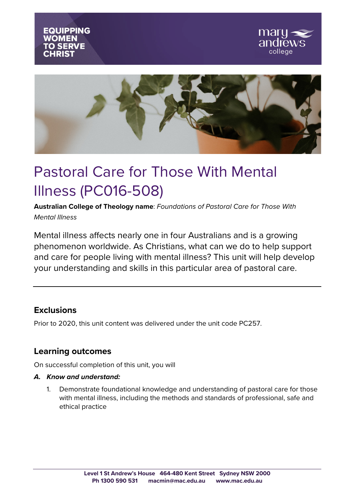





# Pastoral Care for Those With Mental Illness (PC016-508)

**Australian College of Theology name**: *Foundations of Pastoral Care for Those With Mental Illness*

Mental illness affects nearly one in four Australians and is a growing phenomenon worldwide. As Christians, what can we do to help support and care for people living with mental illness? This unit will help develop your understanding and skills in this particular area of pastoral care.

### **Exclusions**

Prior to 2020, this unit content was delivered under the unit code PC257.

## **Learning outcomes**

On successful completion of this unit, you will

#### *A. Know and understand:*

1. Demonstrate foundational knowledge and understanding of pastoral care for those with mental illness, including the methods and standards of professional, safe and ethical practice